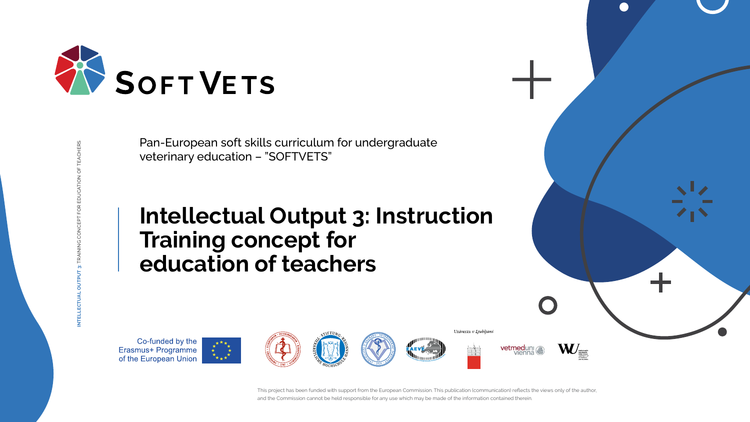This project has been funded with support from the European Commission. This publication (communication) reflects the views only of the author, and the Commission cannot be held responsible for any use which may be made of the information contained therein.

**INTELLECTUAL OUTPUT 3:** TRAINING CONCEPT FOR EDUCATION OF TEACHERS



Univerza v Ljubljani





**W** vetmeduni vienna





Pan-European soft skills curriculum for undergraduate veterinary education – "SOFTVETS"

# **Intellectual Output 3: Instruction Training concept for education of teachers**

Co-funded by the **Erasmus+ Programme**<br>of the European Union